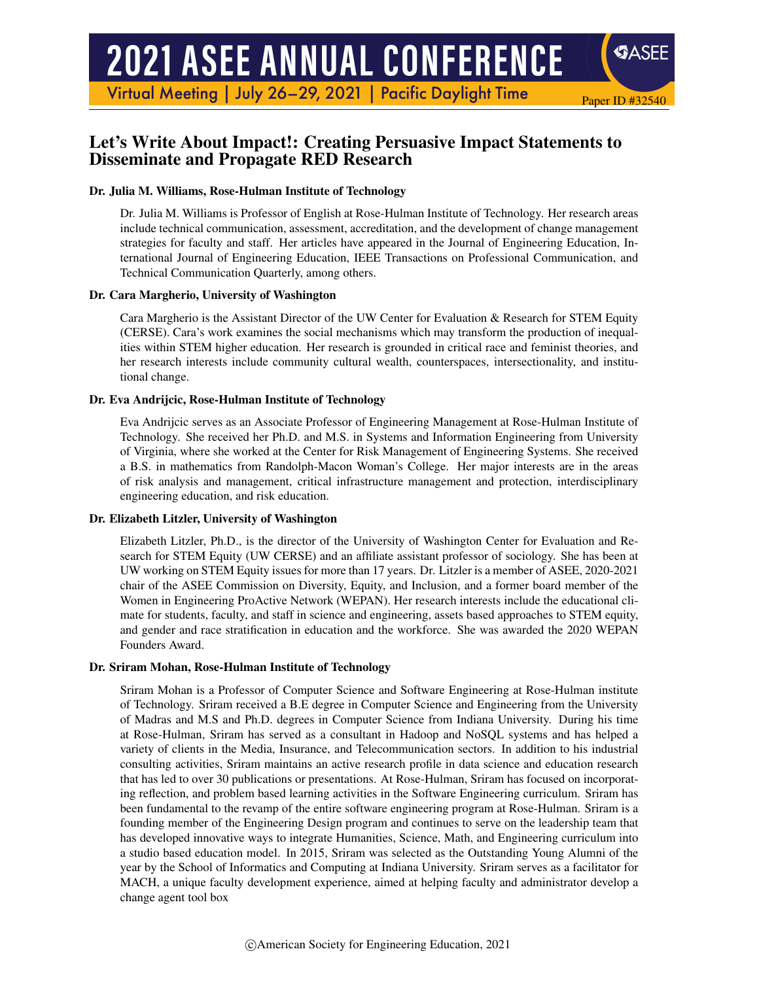# **2021 ASEE ANNUAL CONFERENCE**

Virtual Meeting | July 26-29, 2021 | Pacific Daylight Time

# Let's Write About Impact!: Creating Persuasive Impact Statements to Disseminate and Propagate RED Research

#### Dr. Julia M. Williams, Rose-Hulman Institute of Technology

Dr. Julia M. Williams is Professor of English at Rose-Hulman Institute of Technology. Her research areas include technical communication, assessment, accreditation, and the development of change management strategies for faculty and staff. Her articles have appeared in the Journal of Engineering Education, International Journal of Engineering Education, IEEE Transactions on Professional Communication, and Technical Communication Quarterly, among others.

Paper ID #32540

**SASEE** 

#### Dr. Cara Margherio, University of Washington

Cara Margherio is the Assistant Director of the UW Center for Evaluation & Research for STEM Equity (CERSE). Cara's work examines the social mechanisms which may transform the production of inequalities within STEM higher education. Her research is grounded in critical race and feminist theories, and her research interests include community cultural wealth, counterspaces, intersectionality, and institutional change.

#### Dr. Eva Andrijcic, Rose-Hulman Institute of Technology

Eva Andrijcic serves as an Associate Professor of Engineering Management at Rose-Hulman Institute of Technology. She received her Ph.D. and M.S. in Systems and Information Engineering from University of Virginia, where she worked at the Center for Risk Management of Engineering Systems. She received a B.S. in mathematics from Randolph-Macon Woman's College. Her major interests are in the areas of risk analysis and management, critical infrastructure management and protection, interdisciplinary engineering education, and risk education.

#### Dr. Elizabeth Litzler, University of Washington

Elizabeth Litzler, Ph.D., is the director of the University of Washington Center for Evaluation and Research for STEM Equity (UW CERSE) and an affiliate assistant professor of sociology. She has been at UW working on STEM Equity issues for more than 17 years. Dr. Litzler is a member of ASEE, 2020-2021 chair of the ASEE Commission on Diversity, Equity, and Inclusion, and a former board member of the Women in Engineering ProActive Network (WEPAN). Her research interests include the educational climate for students, faculty, and staff in science and engineering, assets based approaches to STEM equity, and gender and race stratification in education and the workforce. She was awarded the 2020 WEPAN Founders Award.

#### Dr. Sriram Mohan, Rose-Hulman Institute of Technology

Sriram Mohan is a Professor of Computer Science and Software Engineering at Rose-Hulman institute of Technology. Sriram received a B.E degree in Computer Science and Engineering from the University of Madras and M.S and Ph.D. degrees in Computer Science from Indiana University. During his time at Rose-Hulman, Sriram has served as a consultant in Hadoop and NoSQL systems and has helped a variety of clients in the Media, Insurance, and Telecommunication sectors. In addition to his industrial consulting activities, Sriram maintains an active research profile in data science and education research that has led to over 30 publications or presentations. At Rose-Hulman, Sriram has focused on incorporating reflection, and problem based learning activities in the Software Engineering curriculum. Sriram has been fundamental to the revamp of the entire software engineering program at Rose-Hulman. Sriram is a founding member of the Engineering Design program and continues to serve on the leadership team that has developed innovative ways to integrate Humanities, Science, Math, and Engineering curriculum into a studio based education model. In 2015, Sriram was selected as the Outstanding Young Alumni of the year by the School of Informatics and Computing at Indiana University. Sriram serves as a facilitator for MACH, a unique faculty development experience, aimed at helping faculty and administrator develop a change agent tool box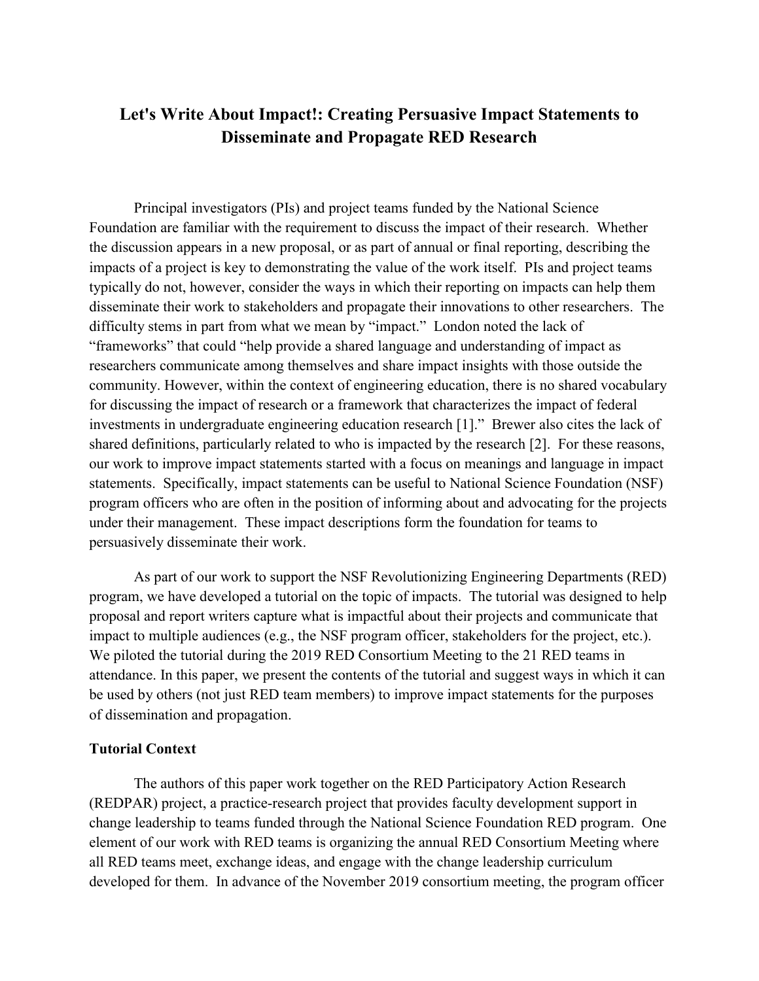# **Let's Write About Impact!: Creating Persuasive Impact Statements to Disseminate and Propagate RED Research**

Principal investigators (PIs) and project teams funded by the National Science Foundation are familiar with the requirement to discuss the impact of their research. Whether the discussion appears in a new proposal, or as part of annual or final reporting, describing the impacts of a project is key to demonstrating the value of the work itself. PIs and project teams typically do not, however, consider the ways in which their reporting on impacts can help them disseminate their work to stakeholders and propagate their innovations to other researchers. The difficulty stems in part from what we mean by "impact." London noted the lack of "frameworks" that could "help provide a shared language and understanding of impact as researchers communicate among themselves and share impact insights with those outside the community. However, within the context of engineering education, there is no shared vocabulary for discussing the impact of research or a framework that characterizes the impact of federal investments in undergraduate engineering education research [1]." Brewer also cites the lack of shared definitions, particularly related to who is impacted by the research [2]. For these reasons, our work to improve impact statements started with a focus on meanings and language in impact statements. Specifically, impact statements can be useful to National Science Foundation (NSF) program officers who are often in the position of informing about and advocating for the projects under their management. These impact descriptions form the foundation for teams to persuasively disseminate their work.

As part of our work to support the NSF Revolutionizing Engineering Departments (RED) program, we have developed a tutorial on the topic of impacts. The tutorial was designed to help proposal and report writers capture what is impactful about their projects and communicate that impact to multiple audiences (e.g., the NSF program officer, stakeholders for the project, etc.). We piloted the tutorial during the 2019 RED Consortium Meeting to the 21 RED teams in attendance. In this paper, we present the contents of the tutorial and suggest ways in which it can be used by others (not just RED team members) to improve impact statements for the purposes of dissemination and propagation.

### **Tutorial Context**

 The authors of this paper work together on the RED Participatory Action Research (REDPAR) project, a practice-research project that provides faculty development support in change leadership to teams funded through the National Science Foundation RED program. One element of our work with RED teams is organizing the annual RED Consortium Meeting where all RED teams meet, exchange ideas, and engage with the change leadership curriculum developed for them. In advance of the November 2019 consortium meeting, the program officer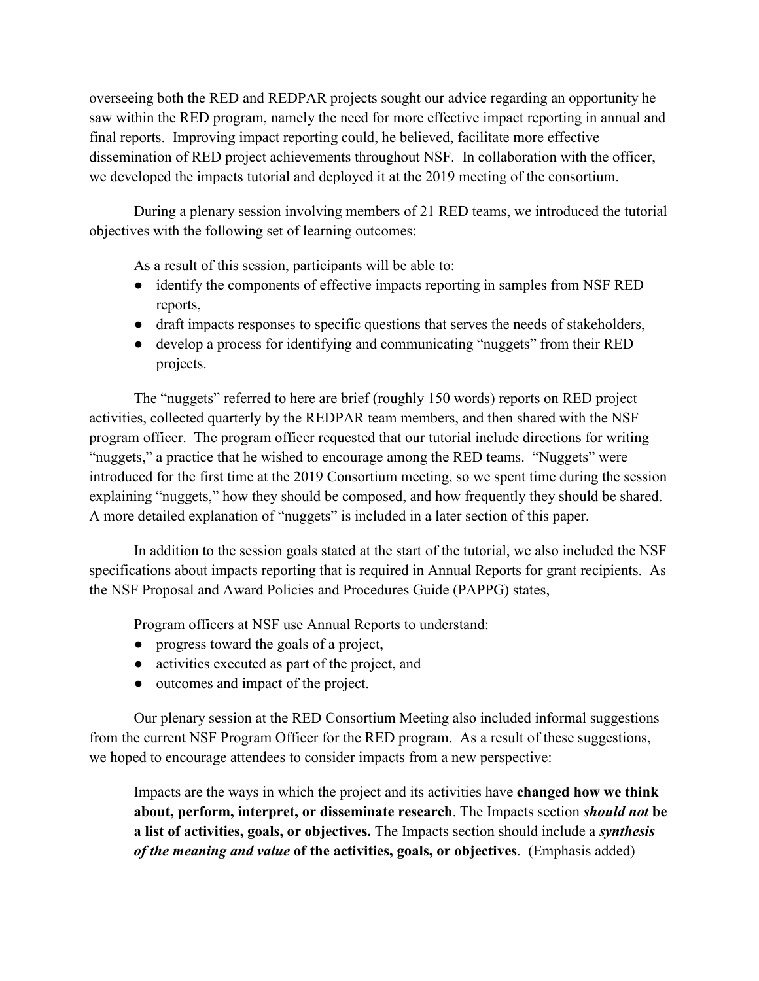overseeing both the RED and REDPAR projects sought our advice regarding an opportunity he saw within the RED program, namely the need for more effective impact reporting in annual and final reports. Improving impact reporting could, he believed, facilitate more effective dissemination of RED project achievements throughout NSF. In collaboration with the officer, we developed the impacts tutorial and deployed it at the 2019 meeting of the consortium.

During a plenary session involving members of 21 RED teams, we introduced the tutorial objectives with the following set of learning outcomes:

As a result of this session, participants will be able to:

- identify the components of effective impacts reporting in samples from NSF RED reports,
- draft impacts responses to specific questions that serves the needs of stakeholders,
- develop a process for identifying and communicating "nuggets" from their RED projects.

The "nuggets" referred to here are brief (roughly 150 words) reports on RED project activities, collected quarterly by the REDPAR team members, and then shared with the NSF program officer. The program officer requested that our tutorial include directions for writing "nuggets," a practice that he wished to encourage among the RED teams. "Nuggets" were introduced for the first time at the 2019 Consortium meeting, so we spent time during the session explaining "nuggets," how they should be composed, and how frequently they should be shared. A more detailed explanation of "nuggets" is included in a later section of this paper.

In addition to the session goals stated at the start of the tutorial, we also included the NSF specifications about impacts reporting that is required in Annual Reports for grant recipients. As the NSF Proposal and Award Policies and Procedures Guide (PAPPG) states,

Program officers at NSF use Annual Reports to understand:

- progress toward the goals of a project,
- activities executed as part of the project, and
- outcomes and impact of the project.

Our plenary session at the RED Consortium Meeting also included informal suggestions from the current NSF Program Officer for the RED program. As a result of these suggestions, we hoped to encourage attendees to consider impacts from a new perspective:

Impacts are the ways in which the project and its activities have **changed how we think about, perform, interpret, or disseminate research**. The Impacts section *should not* **be a list of activities, goals, or objectives.** The Impacts section should include a *synthesis of the meaning and value* **of the activities, goals, or objectives**. (Emphasis added)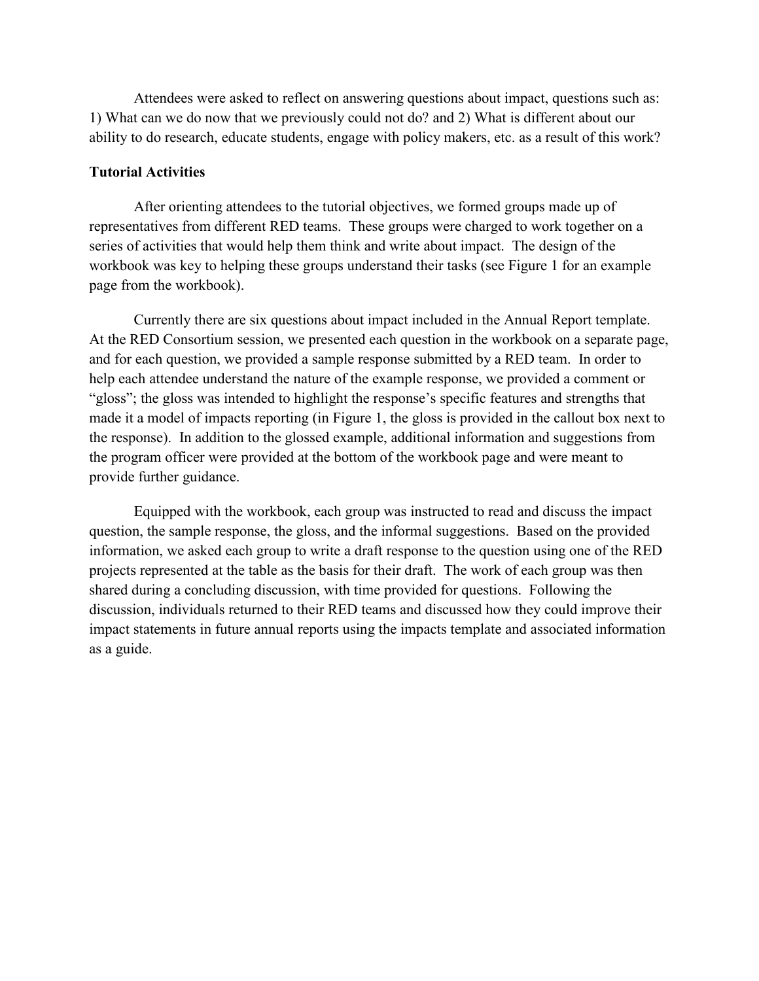Attendees were asked to reflect on answering questions about impact, questions such as: 1) What can we do now that we previously could not do? and 2) What is different about our ability to do research, educate students, engage with policy makers, etc. as a result of this work?

# **Tutorial Activities**

 After orienting attendees to the tutorial objectives, we formed groups made up of representatives from different RED teams. These groups were charged to work together on a series of activities that would help them think and write about impact. The design of the workbook was key to helping these groups understand their tasks (see Figure 1 for an example page from the workbook).

 Currently there are six questions about impact included in the Annual Report template. At the RED Consortium session, we presented each question in the workbook on a separate page, and for each question, we provided a sample response submitted by a RED team. In order to help each attendee understand the nature of the example response, we provided a comment or "gloss"; the gloss was intended to highlight the response's specific features and strengths that made it a model of impacts reporting (in Figure 1, the gloss is provided in the callout box next to the response). In addition to the glossed example, additional information and suggestions from the program officer were provided at the bottom of the workbook page and were meant to provide further guidance.

 Equipped with the workbook, each group was instructed to read and discuss the impact question, the sample response, the gloss, and the informal suggestions. Based on the provided information, we asked each group to write a draft response to the question using one of the RED projects represented at the table as the basis for their draft. The work of each group was then shared during a concluding discussion, with time provided for questions. Following the discussion, individuals returned to their RED teams and discussed how they could improve their impact statements in future annual reports using the impacts template and associated information as a guide.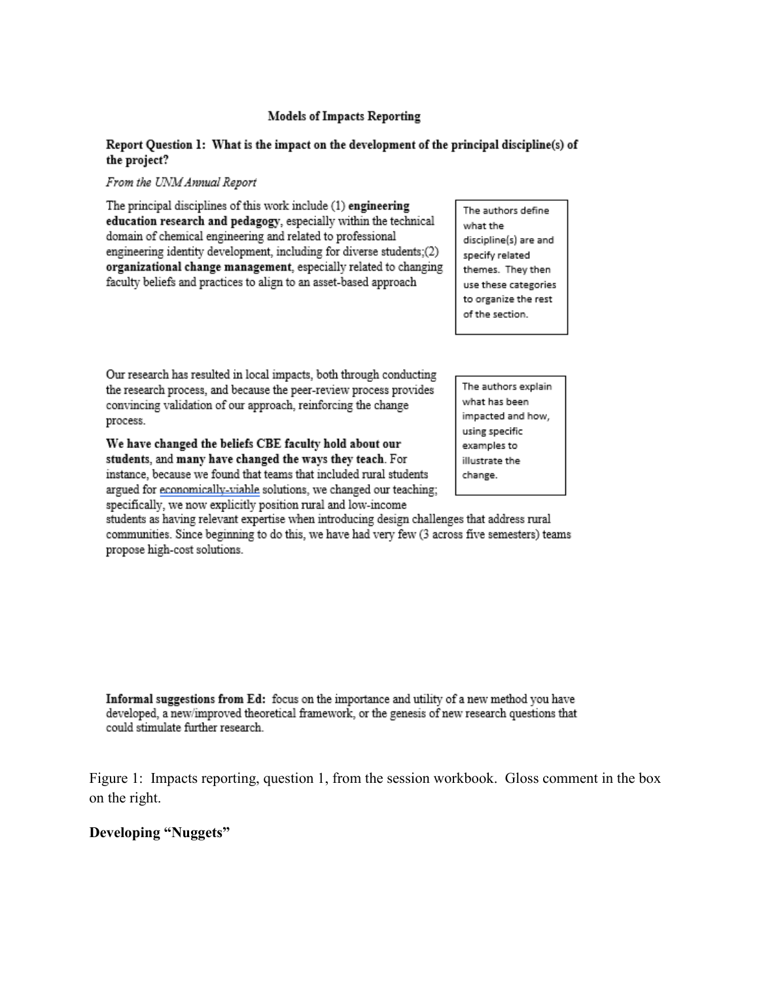#### **Models of Impacts Reporting**

#### Report Question 1: What is the impact on the development of the principal discipline(s) of the project?

#### From the UNM Annual Report

The principal disciplines of this work include (1) engineering education research and pedagogy, especially within the technical domain of chemical engineering and related to professional engineering identity development, including for diverse students;(2) organizational change management, especially related to changing faculty beliefs and practices to align to an asset-based approach

The authors define what the discipline(s) are and specify related themes. They then use these categories to organize the rest of the section.

Our research has resulted in local impacts, both through conducting the research process, and because the peer-review process provides convincing validation of our approach, reinforcing the change process.

We have changed the beliefs CBE faculty hold about our students, and many have changed the ways they teach. For instance, because we found that teams that included rural students argued for economically-viable solutions, we changed our teaching; specifically, we now explicitly position rural and low-income

students as having relevant expertise when introducing design challenges that address rural communities. Since beginning to do this, we have had very few (3 across five semesters) teams propose high-cost solutions.

Informal suggestions from Ed: focus on the importance and utility of a new method you have developed, a new/improved theoretical framework, or the genesis of new research questions that could stimulate further research.

Figure 1: Impacts reporting, question 1, from the session workbook. Gloss comment in the box on the right.

# **Developing "Nuggets"**

The authors explain what has been impacted and how, using specific examples to illustrate the change.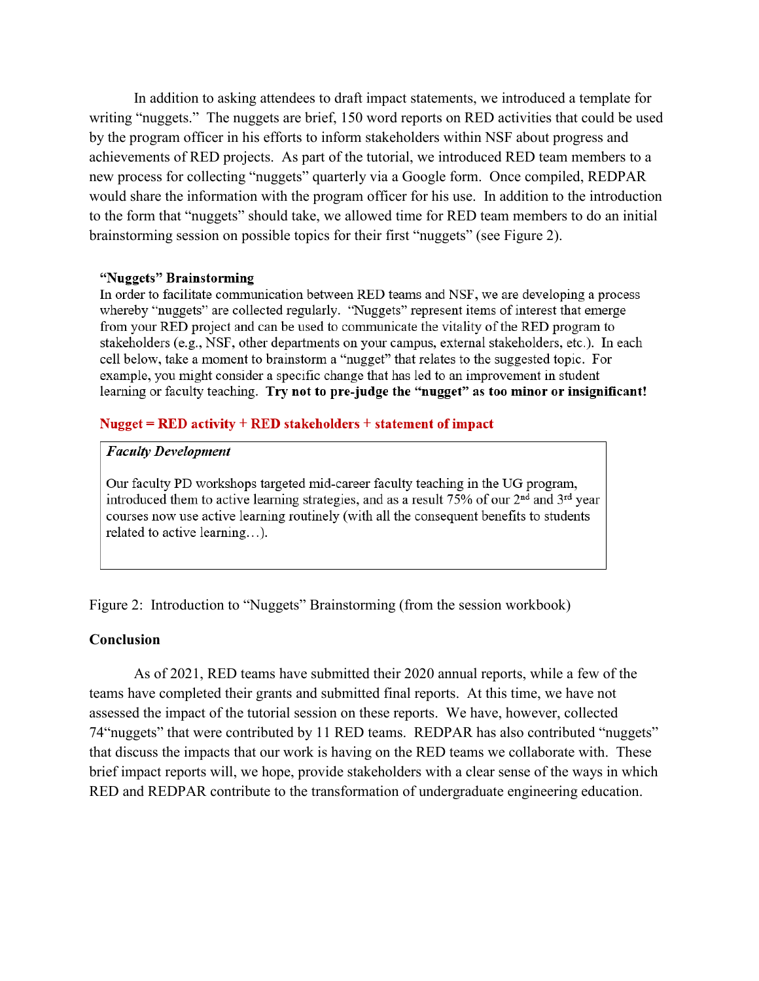In addition to asking attendees to draft impact statements, we introduced a template for writing "nuggets." The nuggets are brief, 150 word reports on RED activities that could be used by the program officer in his efforts to inform stakeholders within NSF about progress and achievements of RED projects. As part of the tutorial, we introduced RED team members to a new process for collecting "nuggets" quarterly via a Google form. Once compiled, REDPAR would share the information with the program officer for his use. In addition to the introduction to the form that "nuggets" should take, we allowed time for RED team members to do an initial brainstorming session on possible topics for their first "nuggets" (see Figure 2).

#### "Nuggets" Brainstorming

In order to facilitate communication between RED teams and NSF, we are developing a process whereby "nuggets" are collected regularly. "Nuggets" represent items of interest that emerge from your RED project and can be used to communicate the vitality of the RED program to stakeholders (e.g., NSF, other departments on your campus, external stakeholders, etc.). In each cell below, take a moment to brainstorm a "nugget" that relates to the suggested topic. For example, you might consider a specific change that has led to an improvement in student learning or faculty teaching. Try not to pre-judge the "nugget" as too minor or insignificant!

## Nugget =  $RED$  activity +  $RED$  stakeholders + statement of impact

## **Faculty Development**

Our faculty PD workshops targeted mid-career faculty teaching in the UG program, introduced them to active learning strategies, and as a result  $75\%$  of our  $2<sup>nd</sup>$  and  $3<sup>rd</sup>$  year courses now use active learning routinely (with all the consequent benefits to students related to active learning...).

Figure 2: Introduction to "Nuggets" Brainstorming (from the session workbook)

#### **Conclusion**

 As of 2021, RED teams have submitted their 2020 annual reports, while a few of the teams have completed their grants and submitted final reports. At this time, we have not assessed the impact of the tutorial session on these reports. We have, however, collected 74"nuggets" that were contributed by 11 RED teams. REDPAR has also contributed "nuggets" that discuss the impacts that our work is having on the RED teams we collaborate with. These brief impact reports will, we hope, provide stakeholders with a clear sense of the ways in which RED and REDPAR contribute to the transformation of undergraduate engineering education.